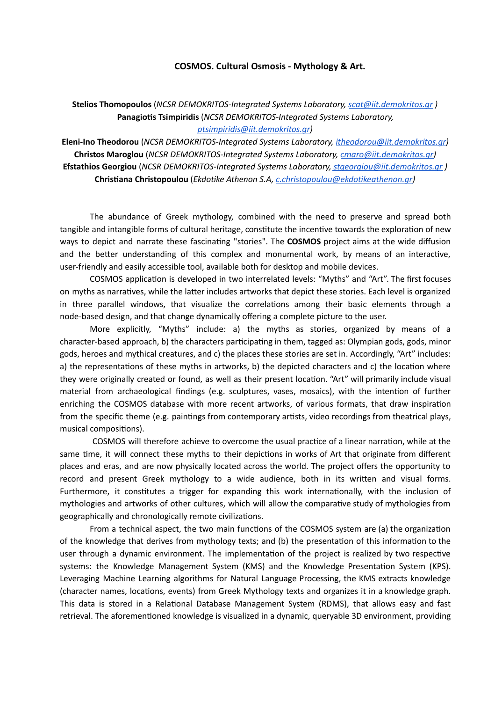## **COSMOS. Cultural Osmosis - Mythology & Art.**

**Stelios Thomopoulos** (*NCSR DEMOKRITOS-Integrated Systems Laboratory, [scat@iit.demokritos.gr](mailto:scat@iit.demokritos.gr) )* **Panagiotis Tsimpiridis** (*NCSR DEMOKRITOS-Integrated Systems Laboratory,* 

*[ptsimpiridis@iit.demokritos.gr](mailto:ptsimpiridis@iit.demokritos.gr))*

**Eleni-Ino Theodorou** (*NCSR DEMOKRITOS-Integrated Systems Laboratory, [itheodorou@iit.demokritos.gr](mailto:itheodorou@iit.demokritos.gr))* **Christos Maroglou** (*NCSR DEMOKRITOS-Integrated Systems Laboratory, [cmaro@iit.demokritos.gr\)](mailto:cmaro@iit.demokritos.gr)* **Efstathios Georgiou** (*NCSR DEMOKRITOS-Integrated Systems Laboratory, [stgeorgiou@iit.demokritos.gr](mailto:stgeorgiou@iit.demokritos.gr) )* **Chrisana Christopoulou** (*Ekdoke Athenon S.A, [c.christopoulou@ekdokeathenon.gr\)](mailto:c.christopoulou@ekdotikeathenon.gr)*

The abundance of Greek mythology, combined with the need to preserve and spread both tangible and intangible forms of cultural heritage, constitute the incentive towards the exploration of new ways to depict and narrate these fascinating "stories". The **COSMOS** project aims at the wide diffusion and the better understanding of this complex and monumental work, by means of an interactive, user-friendly and easily accessible tool, available both for desktop and mobile devices.

COSMOS application is developed in two interrelated levels: "Myths" and "Art". The first focuses on myths as narratives, while the latter includes artworks that depict these stories. Each level is organized in three parallel windows, that visualize the correlations among their basic elements through a node-based design, and that change dynamically offering a complete picture to the user.

More explicitly, "Myths" include: a) the myths as stories, organized by means of a character-based approach, b) the characters participating in them, tagged as: Olympian gods, gods, minor gods, heroes and mythical creatures, and c) the places these stories are set in. Accordingly, "Art" includes: a) the representations of these myths in artworks, b) the depicted characters and c) the location where they were originally created or found, as well as their present location. "Art" will primarily include visual material from archaeological findings (e.g. sculptures, vases, mosaics), with the intention of further enriching the COSMOS database with more recent artworks, of various formats, that draw inspiration from the specific theme (e.g. paintings from contemporary artists, video recordings from theatrical plays, musical compositions).

COSMOS will therefore achieve to overcome the usual practice of a linear narration, while at the same time, it will connect these myths to their depictions in works of Art that originate from different places and eras, and are now physically located across the world. The project offers the opportunity to record and present Greek mythology to a wide audience, both in its written and visual forms. Furthermore, it constitutes a trigger for expanding this work internationally, with the inclusion of mythologies and artworks of other cultures, which will allow the comparative study of mythologies from geographically and chronologically remote civilizations.

From a technical aspect, the two main functions of the COSMOS system are (a) the organization of the knowledge that derives from mythology texts; and (b) the presentation of this information to the user through a dynamic environment. The implementation of the project is realized by two respective systems: the Knowledge Management System (KMS) and the Knowledge Presentation System (KPS). Leveraging Machine Learning algorithms for Natural Language Processing, the KMS extracts knowledge (character names, locations, events) from Greek Mythology texts and organizes it in a knowledge graph. This data is stored in a Relational Database Management System (RDMS), that allows easy and fast retrieval. The aforementioned knowledge is visualized in a dynamic, queryable 3D environment, providing